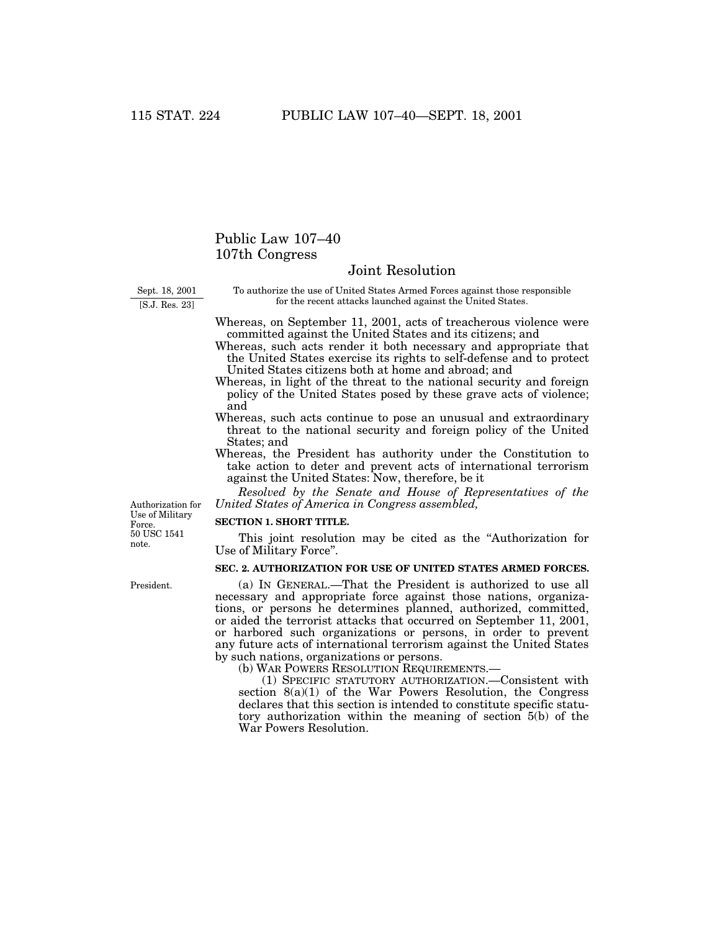## Public Law 107–40 107th Congress

## Joint Resolution

Sept. 18, 2001 [S.J. Res. 23]

To authorize the use of United States Armed Forces against those responsible for the recent attacks launched against the United States.

Whereas, on September 11, 2001, acts of treacherous violence were committed against the United States and its citizens; and

Whereas, such acts render it both necessary and appropriate that the United States exercise its rights to self-defense and to protect United States citizens both at home and abroad; and

- Whereas, in light of the threat to the national security and foreign policy of the United States posed by these grave acts of violence; and
- Whereas, such acts continue to pose an unusual and extraordinary threat to the national security and foreign policy of the United States; and
- Whereas, the President has authority under the Constitution to take action to deter and prevent acts of international terrorism against the United States: Now, therefore, be it

*Resolved by the Senate and House of Representatives of the United States of America in Congress assembled,*

Authorization for Use of Military Force. 50 USC 1541 note.

## **SECTION 1. SHORT TITLE.**

This joint resolution may be cited as the ''Authorization for Use of Military Force''.

## **SEC. 2. AUTHORIZATION FOR USE OF UNITED STATES ARMED FORCES.**

(a) IN GENERAL.—That the President is authorized to use all necessary and appropriate force against those nations, organizations, or persons he determines planned, authorized, committed, or aided the terrorist attacks that occurred on September 11, 2001, or harbored such organizations or persons, in order to prevent any future acts of international terrorism against the United States by such nations, organizations or persons.

(b) WAR POWERS RESOLUTION REQUIREMENTS.—

(1) SPECIFIC STATUTORY AUTHORIZATION.—Consistent with section 8(a)(1) of the War Powers Resolution, the Congress declares that this section is intended to constitute specific statutory authorization within the meaning of section 5(b) of the War Powers Resolution.

President.